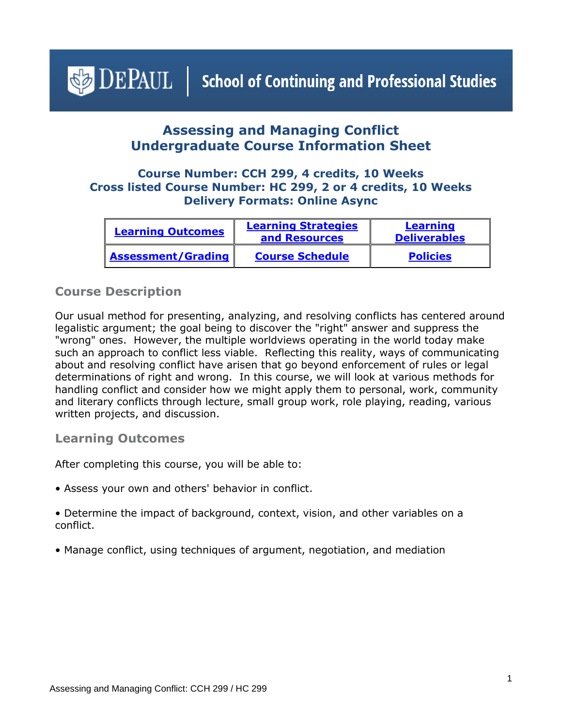# <span id="page-0-1"></span> $\bigcirc$  DEPAUL | School of Continuing and Professional Studies

# **Assessing and Managing Conflict Undergraduate Course Information Sheet**

### **Course Number: CCH 299, 4 credits, 10 Weeks Cross listed Course Number: HC 299, 2 or 4 credits, 10 Weeks Delivery Formats: Online Async**

| <b>Learning Outcomes</b> | <b>Learning Strategies</b><br>and Resources | <b>Learning</b><br><b>Deliverables</b> |
|--------------------------|---------------------------------------------|----------------------------------------|
| Assessment/Grading       | <b>Course Schedule</b>                      | <b>Policies</b>                        |

## **Course Description**

Our usual method for presenting, analyzing, and resolving conflicts has centered around legalistic argument; the goal being to discover the "right" answer and suppress the "wrong" ones. However, the multiple worldviews operating in the world today make such an approach to conflict less viable. Reflecting this reality, ways of communicating about and resolving conflict have arisen that go beyond enforcement of rules or legal determinations of right and wrong. In this course, we will look at various methods for handling conflict and consider how we might apply them to personal, work, community and literary conflicts through lecture, small group work, role playing, reading, various written projects, and discussion.

#### <span id="page-0-0"></span>**Learning Outcomes**

After completing this course, you will be able to:

- Assess your own and others' behavior in conflict.
- Determine the impact of background, context, vision, and other variables on a conflict.
- Manage conflict, using techniques of argument, negotiation, and mediation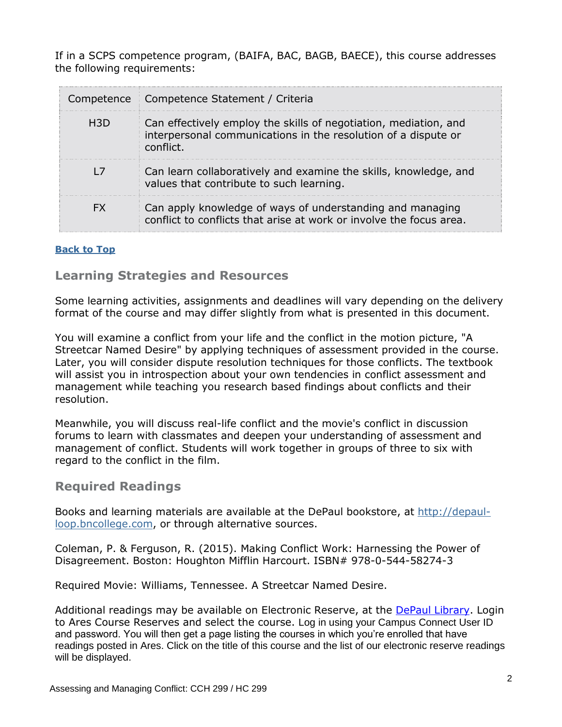If in a SCPS competence program, (BAIFA, BAC, BAGB, BAECE), this course addresses the following requirements:

|     | Competence   Competence Statement / Criteria                                                                                                    |
|-----|-------------------------------------------------------------------------------------------------------------------------------------------------|
| H3D | Can effectively employ the skills of negotiation, mediation, and<br>interpersonal communications in the resolution of a dispute or<br>conflict. |
|     | Can learn collaboratively and examine the skills, knowledge, and<br>values that contribute to such learning.                                    |
| FX  | Can apply knowledge of ways of understanding and managing<br>conflict to conflicts that arise at work or involve the focus area.                |

#### <span id="page-1-0"></span>**[Back to Top](#page-0-1)**

**Learning Strategies and Resources**

Some learning activities, assignments and deadlines will vary depending on the delivery format of the course and may differ slightly from what is presented in this document.

You will examine a conflict from your life and the conflict in the motion picture, "A Streetcar Named Desire" by applying techniques of assessment provided in the course. Later, you will consider dispute resolution techniques for those conflicts. The textbook will assist you in introspection about your own tendencies in conflict assessment and management while teaching you research based findings about conflicts and their resolution.

Meanwhile, you will discuss real-life conflict and the movie's conflict in discussion forums to learn with classmates and deepen your understanding of assessment and management of conflict. Students will work together in groups of three to six with regard to the conflict in the film.

#### **Required Readings**

Books and learning materials are available at the DePaul bookstore, at [http://depaul](http://depaul-loop.bncollege.com/)[loop.bncollege.com,](http://depaul-loop.bncollege.com/) or through alternative sources.

Coleman, P. & Ferguson, R. (2015). Making Conflict Work: Harnessing the Power of Disagreement. Boston: Houghton Mifflin Harcourt. ISBN# 978-0-544-58274-3

Required Movie: Williams, Tennessee. A Streetcar Named Desire.

Additional readings may be available on Electronic Reserve, at the [DePaul Library.](https://library.depaul.edu/services/Pages/Course-Reserves-Services.aspx) Login to Ares Course Reserves and select the course. Log in using your Campus Connect User ID and password. You will then get a page listing the courses in which you're enrolled that have readings posted in Ares. Click on the title of this course and the list of our electronic reserve readings will be displayed.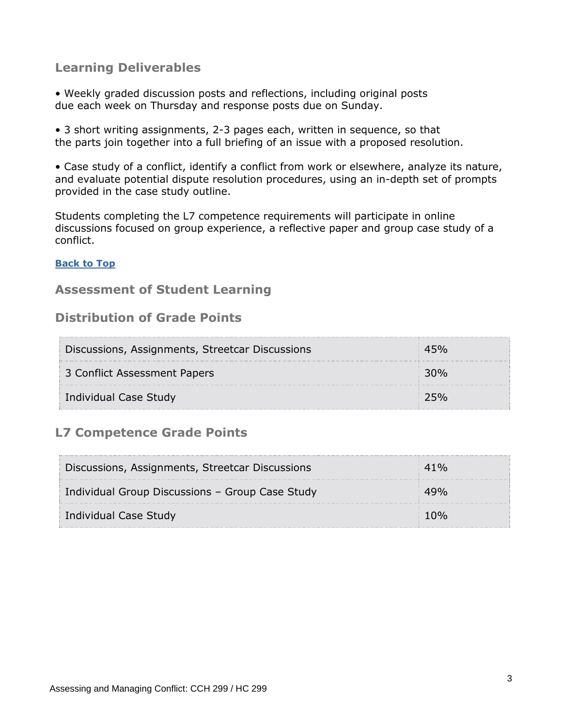# <span id="page-2-0"></span>**Learning Deliverables**

• Weekly graded discussion posts and reflections, including original posts due each week on Thursday and response posts due on Sunday.

• 3 short writing assignments, 2-3 pages each, written in sequence, so that the parts join together into a full briefing of an issue with a proposed resolution.

• Case study of a conflict, identify a conflict from work or elsewhere, analyze its nature, and evaluate potential dispute resolution procedures, using an in-depth set of prompts provided in the case study outline.

Students completing the L7 competence requirements will participate in online discussions focused on group experience, a reflective paper and group case study of a conflict.

#### **[Back to Top](#page-0-1)**

## <span id="page-2-1"></span>**Assessment of Student Learning**

## **Distribution of Grade Points**

| Discussions, Assignments, Streetcar Discussions |  |
|-------------------------------------------------|--|
| 3 Conflict Assessment Papers                    |  |
| Individual Case Study                           |  |

## **L7 Competence Grade Points**

| Discussions, Assignments, Streetcar Discussions |  |
|-------------------------------------------------|--|
| Individual Group Discussions - Group Case Study |  |
| Individual Case Study                           |  |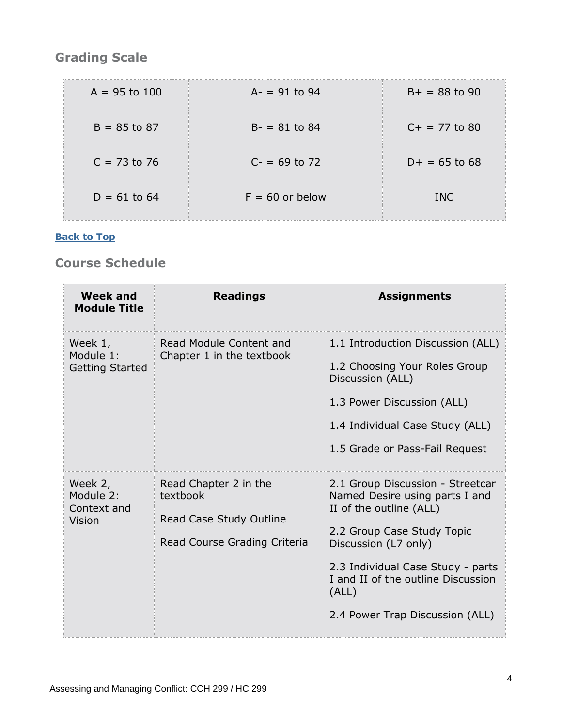# **Grading Scale**

| $A = 95$ to 100 | $A = 91$ to 94    | $B+ = 88$ to 90 |
|-----------------|-------------------|-----------------|
| $B = 85$ to 87  | $B - 81$ to 84    | $C+ = 77$ to 80 |
| $C = 73$ to 76  | $C = 69$ to 72    | $D+ = 65$ to 68 |
| $D = 61$ to 64  | $F = 60$ or below | TNC.            |

#### **[Back to Top](#page-0-1)**

# <span id="page-3-0"></span>**Course Schedule**

| <b>Week and</b><br><b>Module Title</b>         | <b>Readings</b>                                                                              | <b>Assignments</b>                                                                                                                                                                                                                                                         |
|------------------------------------------------|----------------------------------------------------------------------------------------------|----------------------------------------------------------------------------------------------------------------------------------------------------------------------------------------------------------------------------------------------------------------------------|
| Week 1,<br>Module 1:<br><b>Getting Started</b> | Read Module Content and<br>Chapter 1 in the textbook                                         | 1.1 Introduction Discussion (ALL)<br>1.2 Choosing Your Roles Group<br>Discussion (ALL)<br>1.3 Power Discussion (ALL)<br>1.4 Individual Case Study (ALL)<br>1.5 Grade or Pass-Fail Request                                                                                  |
| Week 2,<br>Module 2:<br>Context and<br>Vision  | Read Chapter 2 in the<br>textbook<br>Read Case Study Outline<br>Read Course Grading Criteria | 2.1 Group Discussion - Streetcar<br>Named Desire using parts I and<br>II of the outline (ALL)<br>2.2 Group Case Study Topic<br>Discussion (L7 only)<br>2.3 Individual Case Study - parts<br>I and II of the outline Discussion<br>(ALL)<br>2.4 Power Trap Discussion (ALL) |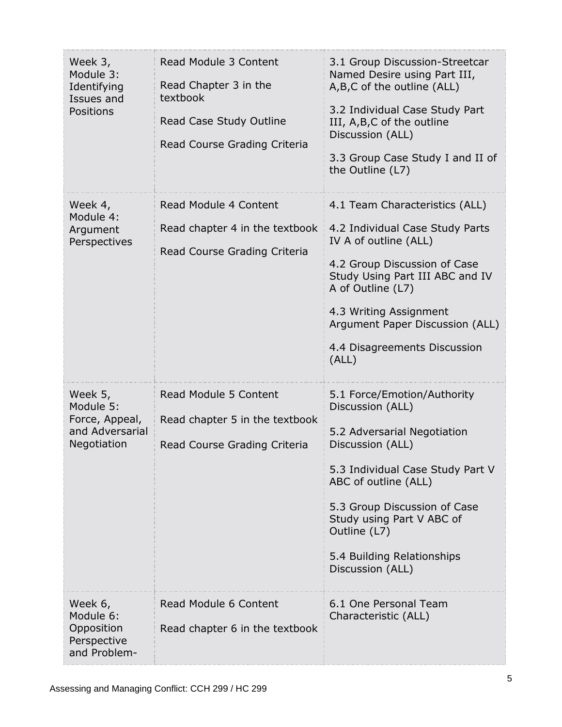| Week 3,<br>Module 3:<br>Identifying<br>Issues and<br>Positions           | Read Module 3 Content<br>Read Chapter 3 in the<br>textbook<br>Read Case Study Outline<br>Read Course Grading Criteria | 3.1 Group Discussion-Streetcar<br>Named Desire using Part III,<br>A,B,C of the outline (ALL)<br>3.2 Individual Case Study Part<br>III, A,B,C of the outline<br>Discussion (ALL)<br>3.3 Group Case Study I and II of<br>the Outline (L7)                                                       |
|--------------------------------------------------------------------------|-----------------------------------------------------------------------------------------------------------------------|-----------------------------------------------------------------------------------------------------------------------------------------------------------------------------------------------------------------------------------------------------------------------------------------------|
| Week 4,<br>Module 4:<br>Argument<br>Perspectives                         | Read Module 4 Content<br>Read chapter 4 in the textbook<br>Read Course Grading Criteria                               | 4.1 Team Characteristics (ALL)<br>4.2 Individual Case Study Parts<br>IV A of outline (ALL)<br>4.2 Group Discussion of Case<br>Study Using Part III ABC and IV<br>A of Outline (L7)<br>4.3 Writing Assignment<br>Argument Paper Discussion (ALL)<br>4.4 Disagreements Discussion<br>(ALL)      |
| Week 5,<br>Module 5:<br>Force, Appeal,<br>and Adversarial<br>Negotiation | Read Module 5 Content<br>Read chapter 5 in the textbook<br>Read Course Grading Criteria                               | 5.1 Force/Emotion/Authority<br>Discussion (ALL)<br>5.2 Adversarial Negotiation<br>Discussion (ALL)<br>5.3 Individual Case Study Part V<br>ABC of outline (ALL)<br>5.3 Group Discussion of Case<br>Study using Part V ABC of<br>Outline (L7)<br>5.4 Building Relationships<br>Discussion (ALL) |
| Week 6,<br>Module 6:<br>Opposition<br>Perspective<br>and Problem-        | Read Module 6 Content<br>Read chapter 6 in the textbook                                                               | 6.1 One Personal Team<br>Characteristic (ALL)                                                                                                                                                                                                                                                 |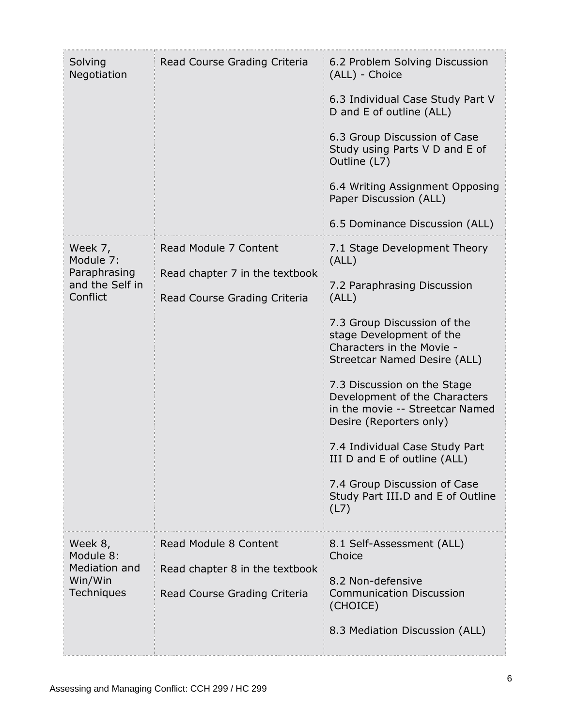| Solving<br>Negotiation                                              | Read Course Grading Criteria                                                            | 6.2 Problem Solving Discussion<br>(ALL) - Choice<br>6.3 Individual Case Study Part V<br>D and E of outline (ALL)<br>6.3 Group Discussion of Case<br>Study using Parts V D and E of<br>Outline (L7)<br>6.4 Writing Assignment Opposing<br>Paper Discussion (ALL)<br>6.5 Dominance Discussion (ALL)                                                                                                                                                                                  |
|---------------------------------------------------------------------|-----------------------------------------------------------------------------------------|------------------------------------------------------------------------------------------------------------------------------------------------------------------------------------------------------------------------------------------------------------------------------------------------------------------------------------------------------------------------------------------------------------------------------------------------------------------------------------|
| Week 7,<br>Module 7:<br>Paraphrasing<br>and the Self in<br>Conflict | Read Module 7 Content<br>Read chapter 7 in the textbook<br>Read Course Grading Criteria | 7.1 Stage Development Theory<br>(ALL)<br>7.2 Paraphrasing Discussion<br>(ALL)<br>7.3 Group Discussion of the<br>stage Development of the<br>Characters in the Movie -<br>Streetcar Named Desire (ALL)<br>7.3 Discussion on the Stage<br>Development of the Characters<br>in the movie -- Streetcar Named<br>Desire (Reporters only)<br>7.4 Individual Case Study Part<br>III D and E of outline (ALL)<br>7.4 Group Discussion of Case<br>Study Part III.D and E of Outline<br>(L7) |
| Week 8,<br>Module 8:<br>Mediation and<br>Win/Win<br>Techniques      | Read Module 8 Content<br>Read chapter 8 in the textbook<br>Read Course Grading Criteria | 8.1 Self-Assessment (ALL)<br>Choice<br>8.2 Non-defensive<br><b>Communication Discussion</b><br>(CHOICE)<br>8.3 Mediation Discussion (ALL)                                                                                                                                                                                                                                                                                                                                          |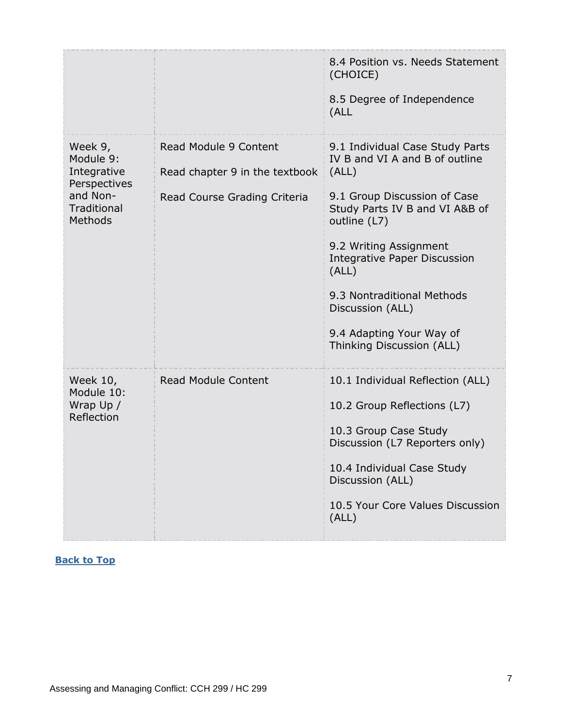|                                                                                                  |                                                                                         | 8.4 Position vs. Needs Statement<br>(CHOICE)<br>8.5 Degree of Independence<br>(ALL                                                                                                                                                                                                                                                                |
|--------------------------------------------------------------------------------------------------|-----------------------------------------------------------------------------------------|---------------------------------------------------------------------------------------------------------------------------------------------------------------------------------------------------------------------------------------------------------------------------------------------------------------------------------------------------|
| Week 9,<br>Module 9:<br>Integrative<br>Perspectives<br>and Non-<br><b>Traditional</b><br>Methods | Read Module 9 Content<br>Read chapter 9 in the textbook<br>Read Course Grading Criteria | 9.1 Individual Case Study Parts<br>IV B and VI A and B of outline<br>(ALL)<br>9.1 Group Discussion of Case<br>Study Parts IV B and VI A&B of<br>outline (L7)<br>9.2 Writing Assignment<br><b>Integrative Paper Discussion</b><br>(ALL)<br>9.3 Nontraditional Methods<br>Discussion (ALL)<br>9.4 Adapting Your Way of<br>Thinking Discussion (ALL) |
| Week 10,<br>Module 10:<br>Wrap Up /<br>Reflection                                                | <b>Read Module Content</b>                                                              | 10.1 Individual Reflection (ALL)<br>10.2 Group Reflections (L7)<br>10.3 Group Case Study<br>Discussion (L7 Reporters only)<br>10.4 Individual Case Study<br>Discussion (ALL)<br>10.5 Your Core Values Discussion<br>(ALL)                                                                                                                         |

#### <span id="page-6-0"></span>**[Back to Top](#page-0-1)**